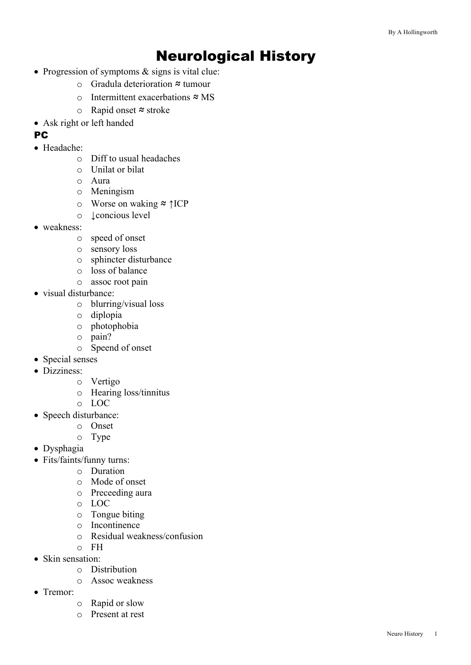# Neurological History

- Progression of symptoms & signs is vital clue:
	- o Gradula deterioration ≈ tumour
	- o Intermittent exacerbations ≈ MS
	- o Rapid onset ≈ stroke
- Ask right or left handed
- **PC**
- Headache:
	- o Diff to usual headaches
	- o Unilat or bilat
	- o Aura
	- o Meningism
	- o Worse on waking ≈ ↑ICP
	- o ↓concious level
- weakness:
	- o speed of onset
	- o sensory loss
	- o sphincter disturbance
	- o loss of balance
	- o assoc root pain
- visual disturbance:
	- o blurring/visual loss
	- o diplopia
	- o photophobia
	- o pain?
	- o Speend of onset
- Special senses
- Dizziness:
	- o Vertigo
	- o Hearing loss/tinnitus
	- o LOC
- Speech disturbance:
	- o Onset
	- o Type
- Dysphagia
- Fits/faints/funny turns:
	- o Duration
	- o Mode of onset
	- o Preceeding aura
	- o LOC
	- o Tongue biting
	- o Incontinence
	- o Residual weakness/confusion
	- o FH
- Skin sensation:
	- o Distribution
	- o Assoc weakness
- Tremor:
	- o Rapid or slow
	- o Present at rest